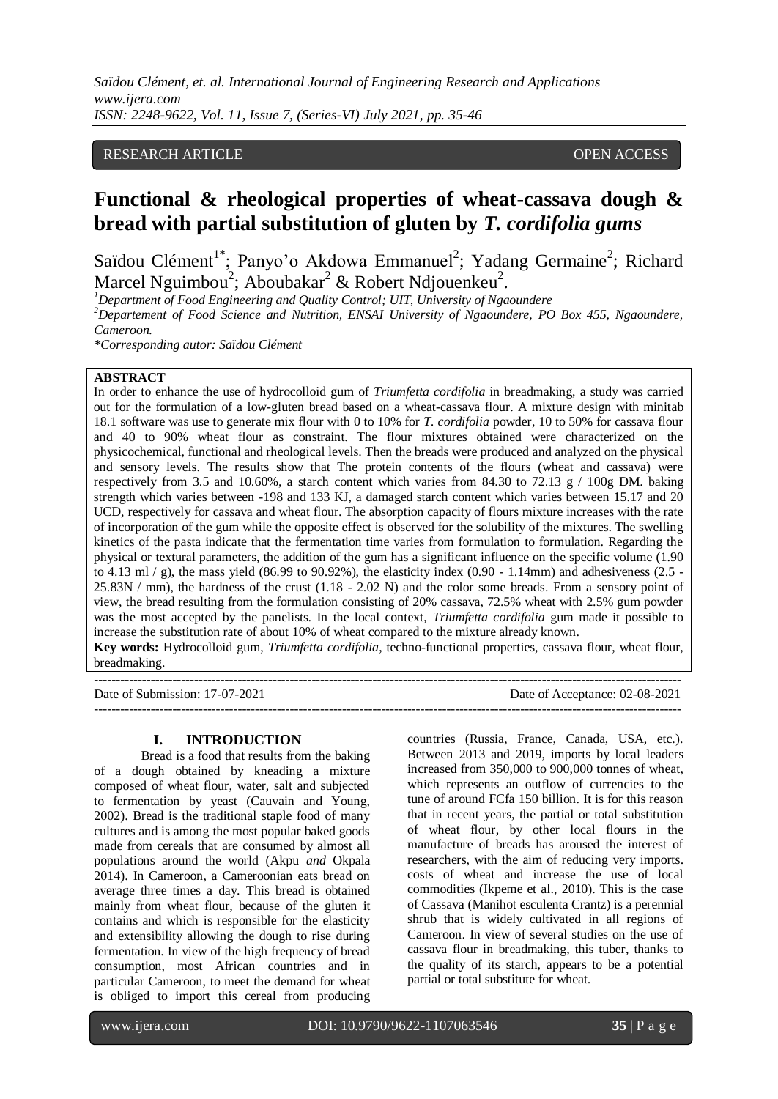# RESEARCH ARTICLE **CONSERVERS** OPEN ACCESS

# **Functional & rheological properties of wheat-cassava dough & bread with partial substitution of gluten by** *T. cordifolia gums*

Saïdou Clément<sup>1\*</sup>; Panyo'o Akdowa Emmanuel<sup>2</sup>; Yadang Germaine<sup>2</sup>; Richard Marcel Nguimbou<sup>2</sup>; Aboubakar<sup>2</sup> & Robert Ndjouenkeu<sup>2</sup>.

*<sup>1</sup>Department of Food Engineering and Quality Control; UIT, University of Ngaoundere*

*<sup>2</sup>Departement of Food Science and Nutrition, ENSAI University of Ngaoundere, PO Box 455, Ngaoundere, Cameroon.* 

*\*Corresponding autor: Saïdou Clément*

# **ABSTRACT**

In order to enhance the use of hydrocolloid gum of *Triumfetta cordifolia* in breadmaking, a study was carried out for the formulation of a low-gluten bread based on a wheat-cassava flour. A mixture design with minitab 18.1 software was use to generate mix flour with 0 to 10% for *T. cordifolia* powder, 10 to 50% for cassava flour and 40 to 90% wheat flour as constraint. The flour mixtures obtained were characterized on the physicochemical, functional and rheological levels. Then the breads were produced and analyzed on the physical and sensory levels. The results show that The protein contents of the flours (wheat and cassava) were respectively from 3.5 and 10.60%, a starch content which varies from 84.30 to 72.13  $g / 100g$  DM. baking strength which varies between -198 and 133 KJ, a damaged starch content which varies between 15.17 and 20 UCD, respectively for cassava and wheat flour. The absorption capacity of flours mixture increases with the rate of incorporation of the gum while the opposite effect is observed for the solubility of the mixtures. The swelling kinetics of the pasta indicate that the fermentation time varies from formulation to formulation. Regarding the physical or textural parameters, the addition of the gum has a significant influence on the specific volume (1.90 to 4.13 ml  $/$  g), the mass yield (86.99 to 90.92%), the elasticity index (0.90 - 1.14mm) and adhesiveness (2.5 -25.83N / mm), the hardness of the crust (1.18 - 2.02 N) and the color some breads. From a sensory point of view, the bread resulting from the formulation consisting of 20% cassava, 72.5% wheat with 2.5% gum powder was the most accepted by the panelists. In the local context, *Triumfetta cordifolia* gum made it possible to increase the substitution rate of about 10% of wheat compared to the mixture already known. **Key words:** Hydrocolloid gum, *Triumfetta cordifolia*, techno-functional properties, cassava flour, wheat flour, breadmaking.

---------------------------------------------------------------------------------------------------------------------------------------

Date of Submission: 17-07-2021 Date of Acceptance: 02-08-2021

---------------------------------------------------------------------------------------------------------------------------------------

#### **I. INTRODUCTION**

Bread is a food that results from the baking of a dough obtained by kneading a mixture composed of wheat flour, water, salt and subjected to fermentation by yeast (Cauvain and Young, 2002). Bread is the traditional staple food of many cultures and is among the most popular baked goods made from cereals that are consumed by almost all populations around the world (Akpu *and* Okpala 2014). In Cameroon, a Cameroonian eats bread on average three times a day. This bread is obtained mainly from wheat flour, because of the gluten it contains and which is responsible for the elasticity and extensibility allowing the dough to rise during fermentation. In view of the high frequency of bread consumption, most African countries and in particular Cameroon, to meet the demand for wheat is obliged to import this cereal from producing countries (Russia, France, Canada, USA, etc.). Between 2013 and 2019, imports by local leaders increased from 350,000 to 900,000 tonnes of wheat, which represents an outflow of currencies to the tune of around FCfa 150 billion. It is for this reason that in recent years, the partial or total substitution of wheat flour, by other local flours in the manufacture of breads has aroused the interest of researchers, with the aim of reducing very imports. costs of wheat and increase the use of local commodities (Ikpeme et al., 2010). This is the case of Cassava (Manihot esculenta Crantz) is a perennial shrub that is widely cultivated in all regions of Cameroon. In view of several studies on the use of cassava flour in breadmaking, this tuber, thanks to the quality of its starch, appears to be a potential partial or total substitute for wheat.

l

www.ijera.com DOI: 10.9790/9622-1107063546 **35** | P a g e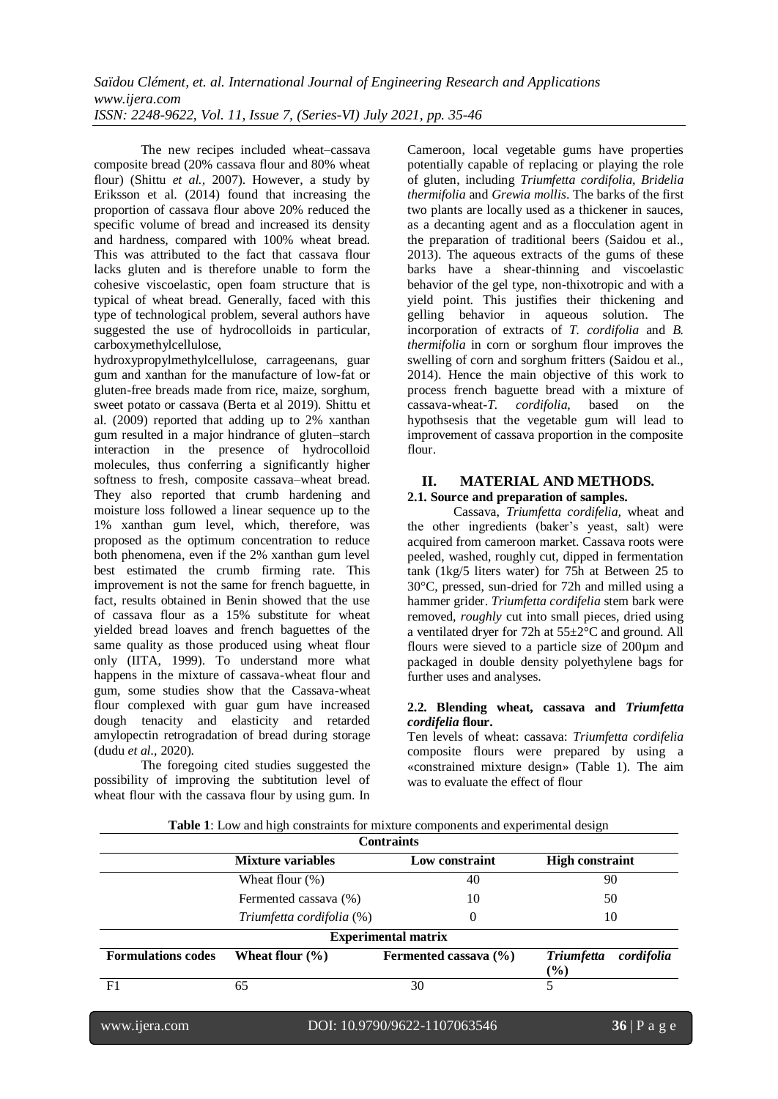The new recipes included wheat–cassava composite bread (20% cassava flour and 80% wheat flour) (Shittu *et al.,* 2007). However, a study by Eriksson et al. (2014) found that increasing the proportion of cassava flour above 20% reduced the specific volume of bread and increased its density and hardness, compared with 100% wheat bread. This was attributed to the fact that cassava flour lacks gluten and is therefore unable to form the cohesive viscoelastic, open foam structure that is typical of wheat bread. Generally, faced with this type of technological problem, several authors have suggested the use of hydrocolloids in particular, carboxymethylcellulose,

hydroxypropylmethylcellulose, carrageenans, guar gum and xanthan for the manufacture of low-fat or gluten-free breads made from rice, maize, sorghum, sweet potato or cassava (Berta et al 2019). Shittu et al. (2009) reported that adding up to 2% xanthan gum resulted in a major hindrance of gluten–starch interaction in the presence of hydrocolloid molecules, thus conferring a significantly higher softness to fresh, composite cassava–wheat bread. They also reported that crumb hardening and moisture loss followed a linear sequence up to the 1% xanthan gum level, which, therefore, was proposed as the optimum concentration to reduce both phenomena, even if the 2% xanthan gum level best estimated the crumb firming rate. This improvement is not the same for french baguette, in fact, results obtained in Benin showed that the use of cassava flour as a 15% substitute for wheat yielded bread loaves and french baguettes of the same quality as those produced using wheat flour only (IITA, 1999). To understand more what happens in the mixture of cassava-wheat flour and gum, some studies show that the Cassava-wheat flour complexed with guar gum have increased dough tenacity and elasticity and retarded amylopectin retrogradation of bread during storage (dudu *et al.,* 2020).

The foregoing cited studies suggested the possibility of improving the subtitution level of wheat flour with the cassava flour by using gum. In Cameroon, local vegetable gums have properties potentially capable of replacing or playing the role of gluten, including *Triumfetta cordifolia*, *Bridelia thermifolia* and *Grewia mollis*. The barks of the first two plants are locally used as a thickener in sauces, as a decanting agent and as a flocculation agent in the preparation of traditional beers (Saidou et al., 2013). The aqueous extracts of the gums of these barks have a shear-thinning and viscoelastic behavior of the gel type, non-thixotropic and with a yield point. This justifies their thickening and gelling behavior in aqueous solution. The incorporation of extracts of *T. cordifolia* and *B. thermifolia* in corn or sorghum flour improves the swelling of corn and sorghum fritters (Saidou et al., 2014). Hence the main objective of this work to process french baguette bread with a mixture of cassava-wheat-T. cordifolia, based on the cassava-wheat-*T. cordifolia*, based on the hypothsesis that the vegetable gum will lead to improvement of cassava proportion in the composite flour.

# **II. MATERIAL AND METHODS.**

**2.1. Source and preparation of samples.**

Cassava, *Triumfetta cordifelia,* wheat and the other ingredients (baker's yeast, salt) were acquired from cameroon market. Cassava roots were peeled, washed, roughly cut, dipped in fermentation tank (1kg/5 liters water) for 75h at Between 25 to 30°C, pressed, sun-dried for 72h and milled using a hammer grider. *Triumfetta cordifelia* stem bark were removed, *roughly* cut into small pieces, dried using a ventilated dryer for 72h at 55±2°C and ground. All flours were sieved to a particle size of 200µm and packaged in double density polyethylene bags for further uses and analyses.

#### **2.2. Blending wheat, cassava and** *Triumfetta cordifelia* **flour.**

Ten levels of wheat: cassava: *Triumfetta cordifelia*  composite flours were prepared by using a «constrained mixture design» (Table 1). The aim was to evaluate the effect of flour

| Table 1: Low and high constraints for mixture components and experimental design |  |  |  |
|----------------------------------------------------------------------------------|--|--|--|
|                                                                                  |  |  |  |

|                           |                           | <b>Contraints</b>          |                                           |  |
|---------------------------|---------------------------|----------------------------|-------------------------------------------|--|
|                           | <b>Mixture variables</b>  | Low constraint             | <b>High constraint</b>                    |  |
|                           | Wheat flour $(\%)$        | 40                         | 90                                        |  |
|                           | Fermented cassava (%)     | 10                         | 50                                        |  |
|                           | Triumfetta cordifolia (%) | 0                          | 10                                        |  |
|                           |                           | <b>Experimental matrix</b> |                                           |  |
| <b>Formulations codes</b> | Wheat flour $(\% )$       | Fermented cassava $(\% )$  | <b>Triumfetta</b><br>cordifolia<br>$($ %) |  |
| F1                        | 65                        | 30                         | 5                                         |  |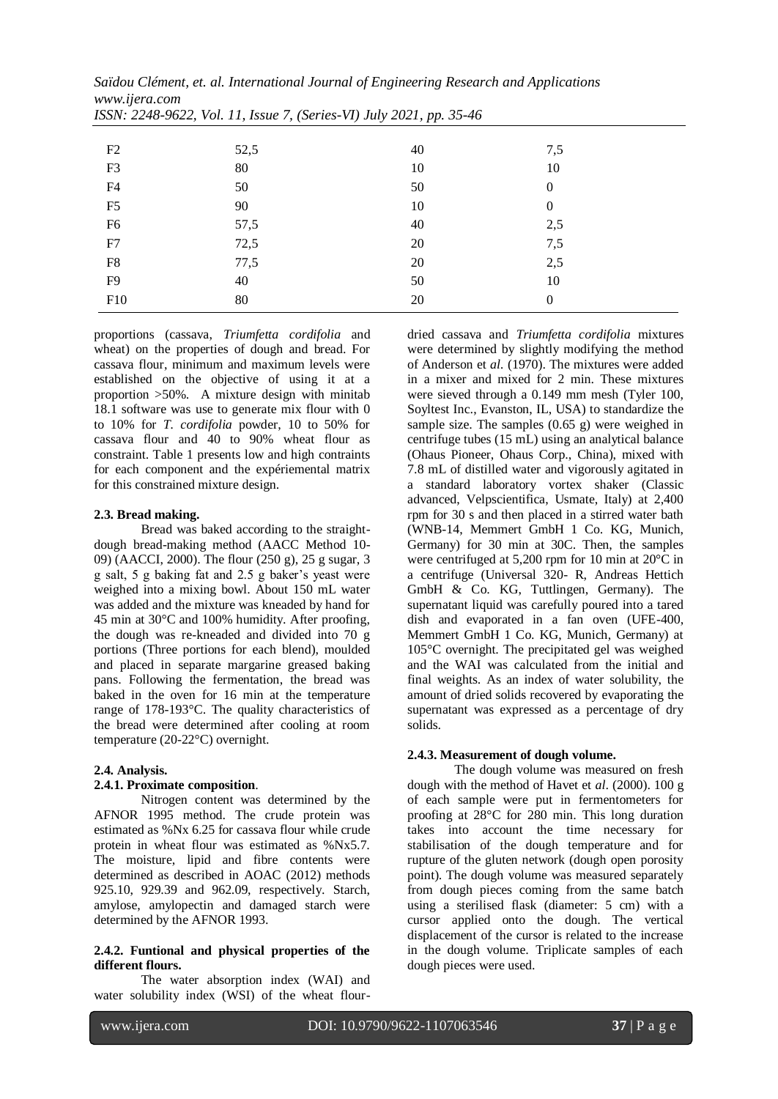| i551N: 2248-9022, VOI. 11, ISSUE 7, (Series-VI) July 2021, pp. 33-40 |      |    |                  |  |
|----------------------------------------------------------------------|------|----|------------------|--|
|                                                                      |      |    |                  |  |
| F2                                                                   | 52,5 | 40 | 7,5              |  |
| F3                                                                   | 80   | 10 | 10               |  |
| F4                                                                   | 50   | 50 | $\boldsymbol{0}$ |  |
| F <sub>5</sub>                                                       | 90   | 10 | $\boldsymbol{0}$ |  |
| F <sub>6</sub>                                                       | 57,5 | 40 | 2,5              |  |
| F7                                                                   | 72,5 | 20 | 7,5              |  |
| F8                                                                   | 77,5 | 20 | 2,5              |  |
| F9                                                                   | 40   | 50 | 10               |  |
| F10                                                                  | 80   | 20 | $\theta$         |  |

*Saïdou Clément, et. al. International Journal of Engineering Research and Applications www.ijera.com ISSN: 2248-9622, Vol. 11, Issue 7, (Series-VI) July 2021, pp. 35-46*

proportions (cassava, *Triumfetta cordifolia* and wheat) on the properties of dough and bread. For cassava flour, minimum and maximum levels were established on the objective of using it at a proportion >50%. A mixture design with minitab 18.1 software was use to generate mix flour with 0 to 10% for *T. cordifolia* powder, 10 to 50% for cassava flour and 40 to 90% wheat flour as constraint. Table 1 presents low and high contraints for each component and the expériemental matrix for this constrained mixture design.

#### **2.3. Bread making.**

Bread was baked according to the straightdough bread-making method (AACC Method 10- 09) (AACCI, 2000). The flour (250 g), 25 g sugar, 3 g salt, 5 g baking fat and 2.5 g baker's yeast were weighed into a mixing bowl. About 150 mL water was added and the mixture was kneaded by hand for 45 min at 30°C and 100% humidity. After proofing, the dough was re-kneaded and divided into 70 g portions (Three portions for each blend), moulded and placed in separate margarine greased baking pans. Following the fermentation, the bread was baked in the oven for 16 min at the temperature range of 178-193°C. The quality characteristics of the bread were determined after cooling at room temperature (20-22°C) overnight.

#### **2.4. Analysis.**

# **2.4.1. Proximate composition**.

Nitrogen content was determined by the AFNOR 1995 method. The crude protein was estimated as %Nx 6.25 for cassava flour while crude protein in wheat flour was estimated as %Nx5.7. The moisture, lipid and fibre contents were determined as described in AOAC (2012) methods 925.10, 929.39 and 962.09, respectively. Starch, amylose, amylopectin and damaged starch were determined by the AFNOR 1993.

#### **2.4.2. Funtional and physical properties of the different flours.**

The water absorption index (WAI) and water solubility index (WSI) of the wheat flourdried cassava and *Triumfetta cordifolia* mixtures were determined by slightly modifying the method of Anderson et *al.* (1970). The mixtures were added in a mixer and mixed for 2 min. These mixtures were sieved through a 0.149 mm mesh (Tyler 100, Soyltest Inc., Evanston, IL, USA) to standardize the sample size. The samples (0.65 g) were weighed in centrifuge tubes (15 mL) using an analytical balance (Ohaus Pioneer, Ohaus Corp., China), mixed with 7.8 mL of distilled water and vigorously agitated in a standard laboratory vortex shaker (Classic advanced, Velpscientifica, Usmate, Italy) at 2,400 rpm for 30 s and then placed in a stirred water bath (WNB-14, Memmert GmbH 1 Co. KG, Munich, Germany) for 30 min at 30C. Then, the samples were centrifuged at 5,200 rpm for 10 min at 20°C in a centrifuge (Universal 320- R, Andreas Hettich GmbH & Co. KG, Tuttlingen, Germany). The supernatant liquid was carefully poured into a tared dish and evaporated in a fan oven (UFE-400, Memmert GmbH 1 Co. KG, Munich, Germany) at 105°C overnight. The precipitated gel was weighed and the WAI was calculated from the initial and final weights. As an index of water solubility, the amount of dried solids recovered by evaporating the supernatant was expressed as a percentage of dry solids.

# **2.4.3. Measurement of dough volume.**

The dough volume was measured on fresh dough with the method of Havet et *al*. (2000). 100 g of each sample were put in fermentometers for proofing at 28°C for 280 min. This long duration takes into account the time necessary for stabilisation of the dough temperature and for rupture of the gluten network (dough open porosity point). The dough volume was measured separately from dough pieces coming from the same batch using a sterilised flask (diameter: 5 cm) with a cursor applied onto the dough. The vertical displacement of the cursor is related to the increase in the dough volume. Triplicate samples of each dough pieces were used.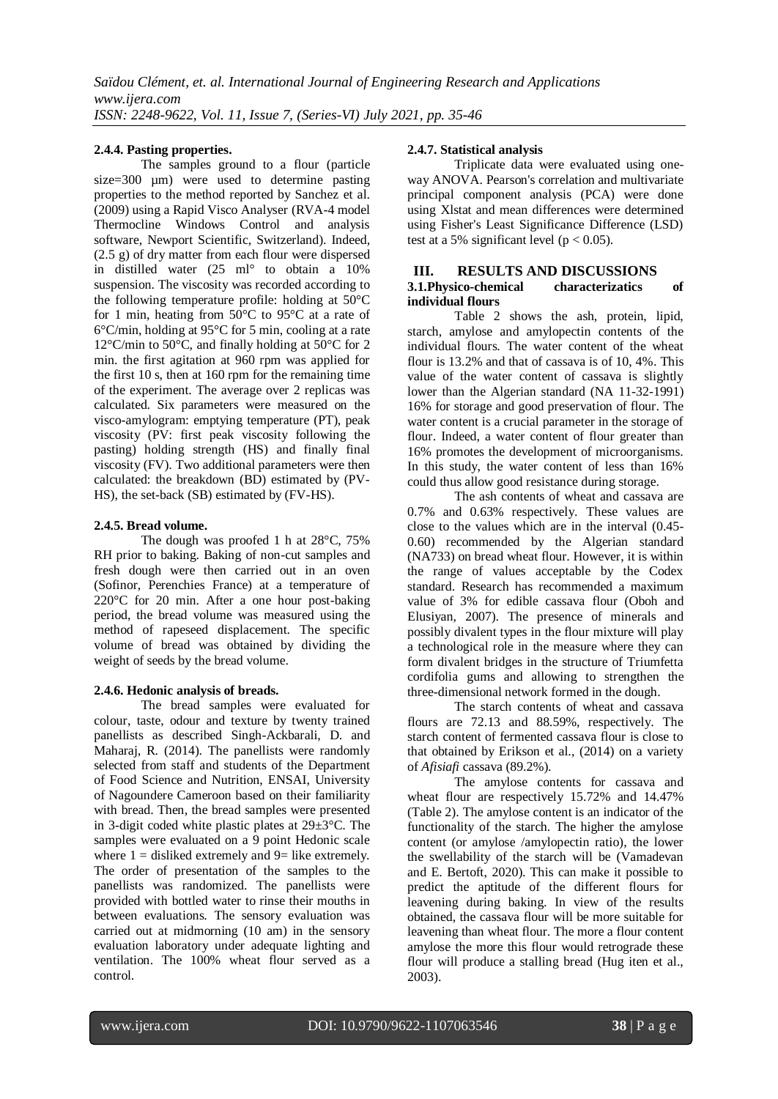# **2.4.4. Pasting properties.**

The samples ground to a flour (particle size=300 µm) were used to determine pasting properties to the method reported by Sanchez et al. (2009) using a Rapid Visco Analyser (RVA-4 model Thermocline Windows Control and analysis software, Newport Scientific, Switzerland). Indeed, (2.5 g) of dry matter from each flour were dispersed in distilled water (25 ml° to obtain a 10% suspension. The viscosity was recorded according to the following temperature profile: holding at 50°C for 1 min, heating from  $50^{\circ}$ C to  $95^{\circ}$ C at a rate of 6°C/min, holding at 95°C for 5 min, cooling at a rate 12°C/min to 50°C, and finally holding at 50°C for 2 min. the first agitation at 960 rpm was applied for the first 10 s, then at 160 rpm for the remaining time of the experiment. The average over 2 replicas was calculated. Six parameters were measured on the visco-amylogram: emptying temperature (PT), peak viscosity (PV: first peak viscosity following the pasting) holding strength (HS) and finally final viscosity (FV). Two additional parameters were then calculated: the breakdown (BD) estimated by (PV-HS), the set-back (SB) estimated by (FV-HS).

# **2.4.5. Bread volume.**

The dough was proofed 1 h at 28°C, 75% RH prior to baking. Baking of non-cut samples and fresh dough were then carried out in an oven (Sofinor, Perenchies France) at a temperature of 220°C for 20 min. After a one hour post-baking period, the bread volume was measured using the method of rapeseed displacement. The specific volume of bread was obtained by dividing the weight of seeds by the bread volume.

# **2.4.6. Hedonic analysis of breads.**

The bread samples were evaluated for colour, taste, odour and texture by twenty trained panellists as described Singh-Ackbarali, D. and Maharaj, R. (2014). The panellists were randomly selected from staff and students of the Department of Food Science and Nutrition, ENSAI, University of Nagoundere Cameroon based on their familiarity with bread. Then, the bread samples were presented in 3-digit coded white plastic plates at 29±3°C. The samples were evaluated on a 9 point Hedonic scale where  $1 =$  disliked extremely and  $9 =$  like extremely. The order of presentation of the samples to the panellists was randomized. The panellists were provided with bottled water to rinse their mouths in between evaluations. The sensory evaluation was carried out at midmorning (10 am) in the sensory evaluation laboratory under adequate lighting and ventilation. The 100% wheat flour served as a control.

# **2.4.7. Statistical analysis**

Triplicate data were evaluated using oneway ANOVA. Pearson's correlation and multivariate principal component analysis (PCA) were done using Xlstat and mean differences were determined using Fisher's Least Significance Difference (LSD) test at a 5% significant level ( $p < 0.05$ ).

#### **III. RESULTS AND DISCUSSIONS 3.1.Physico-chemical characterizatics of individual flours**

Table 2 shows the ash, protein, lipid, starch, amylose and amylopectin contents of the individual flours. The water content of the wheat flour is 13.2% and that of cassava is of 10, 4%. This value of the water content of cassava is slightly lower than the Algerian standard (NA 11-32-1991) 16% for storage and good preservation of flour. The water content is a crucial parameter in the storage of flour. Indeed, a water content of flour greater than 16% promotes the development of microorganisms. In this study, the water content of less than 16% could thus allow good resistance during storage.

The ash contents of wheat and cassava are 0.7% and 0.63% respectively. These values are close to the values which are in the interval (0.45- 0.60) recommended by the Algerian standard (NA733) on bread wheat flour. However, it is within the range of values acceptable by the Codex standard. Research has recommended a maximum value of 3% for edible cassava flour (Oboh and Elusiyan, 2007). The presence of minerals and possibly divalent types in the flour mixture will play a technological role in the measure where they can form divalent bridges in the structure of Triumfetta cordifolia gums and allowing to strengthen the three-dimensional network formed in the dough.

The starch contents of wheat and cassava flours are 72.13 and 88.59%, respectively. The starch content of fermented cassava flour is close to that obtained by Erikson et al., (2014) on a variety of *Afisiafi* cassava (89.2%).

The amylose contents for cassava and wheat flour are respectively 15.72% and 14.47% (Table 2). The amylose content is an indicator of the functionality of the starch. The higher the amylose content (or amylose /amylopectin ratio), the lower the swellability of the starch will be (Vamadevan and E. Bertoft, 2020). This can make it possible to predict the aptitude of the different flours for leavening during baking. In view of the results obtained, the cassava flour will be more suitable for leavening than wheat flour. The more a flour content amylose the more this flour would retrograde these flour will produce a stalling bread (Hug iten et al., 2003).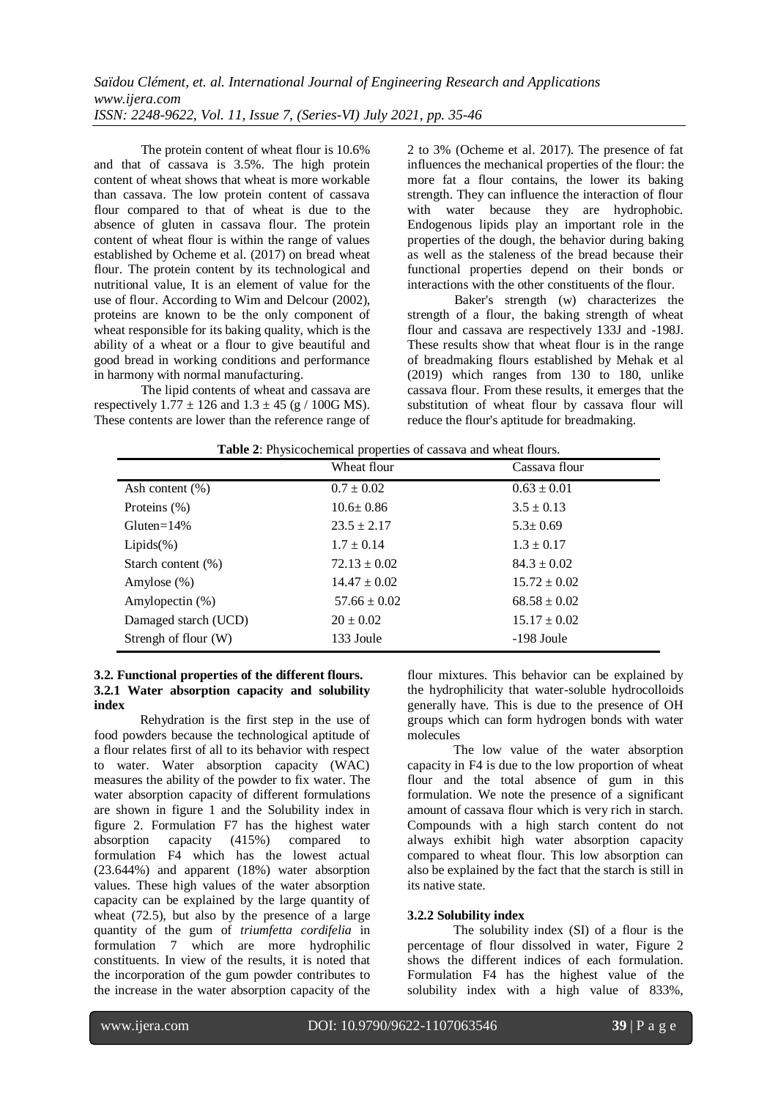The protein content of wheat flour is 10.6% and that of cassava is 3.5%. The high protein content of wheat shows that wheat is more workable than cassava. The low protein content of cassava flour compared to that of wheat is due to the absence of gluten in cassava flour. The protein content of wheat flour is within the range of values established by Ocheme et al. (2017) on bread wheat flour. The protein content by its technological and nutritional value, It is an element of value for the use of flour. According to Wim and Delcour (2002), proteins are known to be the only component of wheat responsible for its baking quality, which is the ability of a wheat or a flour to give beautiful and good bread in working conditions and performance in harmony with normal manufacturing.

The lipid contents of wheat and cassava are respectively  $1.77 \pm 126$  and  $1.3 \pm 45$  (g / 100G MS). These contents are lower than the reference range of 2 to 3% (Ocheme et al. 2017). The presence of fat influences the mechanical properties of the flour: the more fat a flour contains, the lower its baking strength. They can influence the interaction of flour with water because they are hydrophobic. Endogenous lipids play an important role in the properties of the dough, the behavior during baking as well as the staleness of the bread because their functional properties depend on their bonds or interactions with the other constituents of the flour.

Baker's strength (w) characterizes the strength of a flour, the baking strength of wheat flour and cassava are respectively 133J and -198J. These results show that wheat flour is in the range of breadmaking flours established by Mehak et al (2019) which ranges from 130 to 180, unlike cassava flour. From these results, it emerges that the substitution of wheat flour by cassava flour will reduce the flour's aptitude for breadmaking.

| <b>Table 2:</b> Physicochemical properties of cassava and wheat flours. |                  |                  |  |
|-------------------------------------------------------------------------|------------------|------------------|--|
|                                                                         | Wheat flour      | Cassava flour    |  |
| Ash content $(\%)$                                                      | $0.7 \pm 0.02$   | $0.63 \pm 0.01$  |  |
| Proteins (%)                                                            | $10.6 \pm 0.86$  | $3.5 \pm 0.13$   |  |
| Gluten= $14\%$                                                          | $23.5 \pm 2.17$  | $5.3 \pm 0.69$   |  |
| $Lipids(\%)$                                                            | $1.7 \pm 0.14$   | $1.3 \pm 0.17$   |  |
| Starch content (%)                                                      | $72.13 \pm 0.02$ | $84.3 \pm 0.02$  |  |
| Amylose $(\%)$                                                          | $14.47 \pm 0.02$ | $15.72 \pm 0.02$ |  |
| Amylopectin $(\%)$                                                      | $57.66 \pm 0.02$ | $68.58 \pm 0.02$ |  |
| Damaged starch (UCD)                                                    | $20 \pm 0.02$    | $15.17 \pm 0.02$ |  |
| Strengh of flour (W)                                                    | 133 Joule        | -198 Joule       |  |

# **Table 2**: Physicochemical properties of cassava and wheat flours.

# **3.2. Functional properties of the different flours. 3.2.1 Water absorption capacity and solubility index**

Rehydration is the first step in the use of food powders because the technological aptitude of a flour relates first of all to its behavior with respect to water. Water absorption capacity (WAC) measures the ability of the powder to fix water. The water absorption capacity of different formulations are shown in figure 1 and the Solubility index in figure 2. Formulation F7 has the highest water absorption capacity (415%) compared to formulation F4 which has the lowest actual (23.644%) and apparent (18%) water absorption values. These high values of the water absorption capacity can be explained by the large quantity of wheat (72.5), but also by the presence of a large quantity of the gum of *triumfetta cordifelia* in formulation 7 which are more hydrophilic constituents. In view of the results, it is noted that the incorporation of the gum powder contributes to the increase in the water absorption capacity of the flour mixtures. This behavior can be explained by the hydrophilicity that water-soluble hydrocolloids generally have. This is due to the presence of OH groups which can form hydrogen bonds with water molecules

The low value of the water absorption capacity in F4 is due to the low proportion of wheat flour and the total absence of gum in this formulation. We note the presence of a significant amount of cassava flour which is very rich in starch. Compounds with a high starch content do not always exhibit high water absorption capacity compared to wheat flour. This low absorption can also be explained by the fact that the starch is still in its native state.

# **3.2.2 Solubility index**

The solubility index (SI) of a flour is the percentage of flour dissolved in water, Figure 2 shows the different indices of each formulation. Formulation F4 has the highest value of the solubility index with a high value of 833%,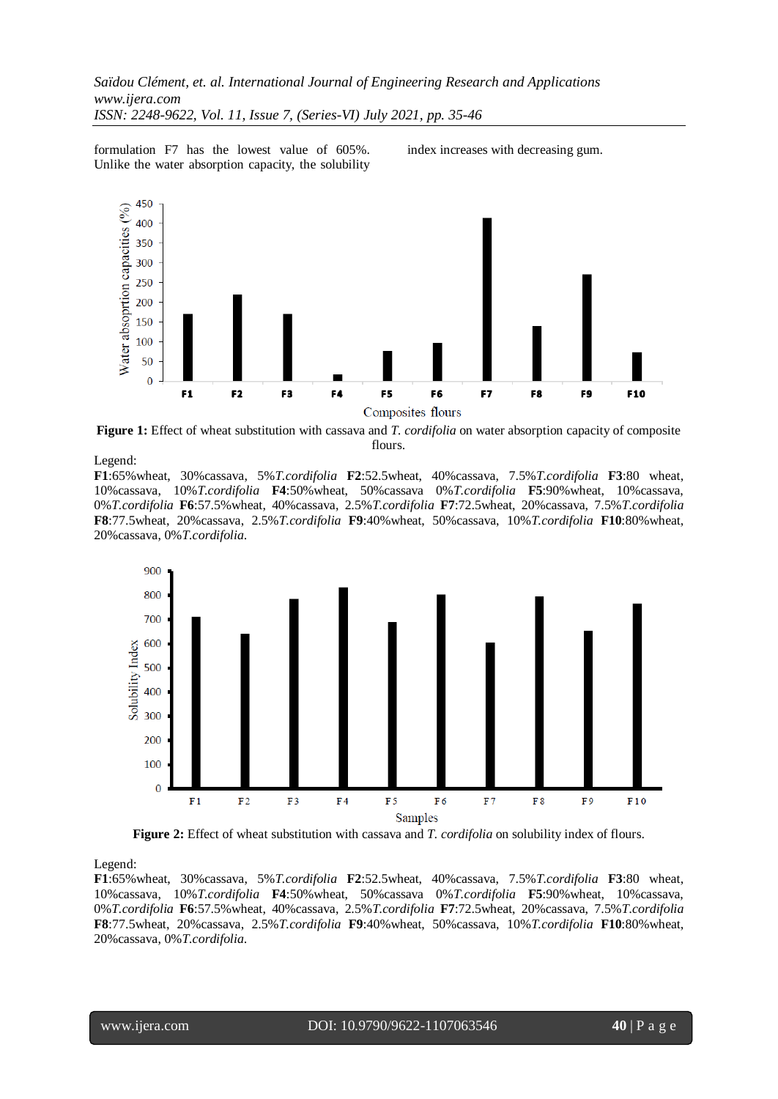formulation F7 has the lowest value of 605%. Unlike the water absorption capacity, the solubility

index increases with decreasing gum.



**Figure 1:** Effect of wheat substitution with cassava and *T. cordifolia* on water absorption capacity of composite flours.

#### Legend:

**F1**:65%wheat, 30%cassava, 5%*T.cordifolia* **F2**:52.5wheat, 40%cassava, 7.5%*T.cordifolia* **F3**:80 wheat, 10%cassava, 10%*T.cordifolia* **F4**:50%wheat, 50%cassava 0%*T.cordifolia* **F5**:90%wheat, 10%cassava, 0%*T.cordifolia* **F6**:57.5%wheat, 40%cassava, 2.5%*T.cordifolia* **F7**:72.5wheat, 20%cassava, 7.5%*T.cordifolia* **F8**:77.5wheat, 20%cassava, 2.5%*T.cordifolia* **F9**:40%wheat, 50%cassava, 10%*T.cordifolia* **F10**:80%wheat, 20%cassava, 0%*T.cordifolia*.



**Figure 2:** Effect of wheat substitution with cassava and *T. cordifolia* on solubility index of flours.

Legend:

**F1**:65%wheat, 30%cassava, 5%*T.cordifolia* **F2**:52.5wheat, 40%cassava, 7.5%*T.cordifolia* **F3**:80 wheat, 10%cassava, 10%*T.cordifolia* **F4**:50%wheat, 50%cassava 0%*T.cordifolia* **F5**:90%wheat, 10%cassava, 0%*T.cordifolia* **F6**:57.5%wheat, 40%cassava, 2.5%*T.cordifolia* **F7**:72.5wheat, 20%cassava, 7.5%*T.cordifolia* **F8**:77.5wheat, 20%cassava, 2.5%*T.cordifolia* **F9**:40%wheat, 50%cassava, 10%*T.cordifolia* **F10**:80%wheat, 20%cassava, 0%*T.cordifolia*.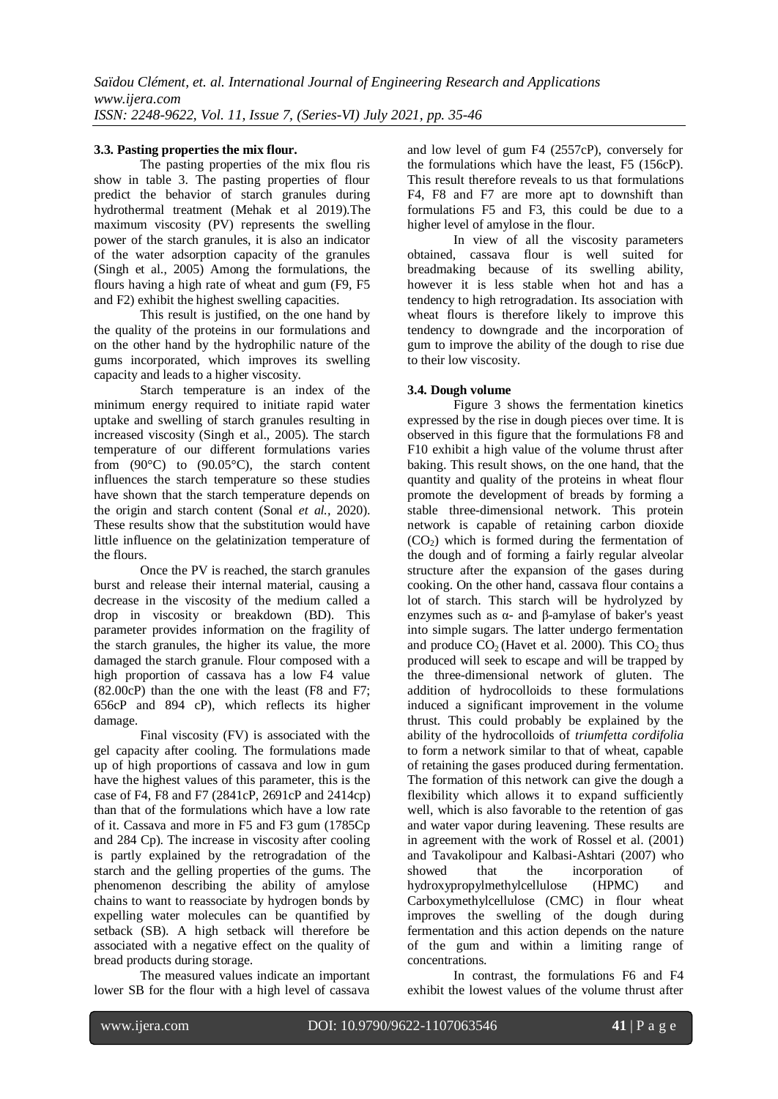#### **3.3. Pasting properties the mix flour.**

The pasting properties of the mix flou ris show in table 3. The pasting properties of flour predict the behavior of starch granules during hydrothermal treatment (Mehak et al 2019).The maximum viscosity (PV) represents the swelling power of the starch granules, it is also an indicator of the water adsorption capacity of the granules (Singh et al., 2005) Among the formulations, the flours having a high rate of wheat and gum (F9, F5 and F2) exhibit the highest swelling capacities.

This result is justified, on the one hand by the quality of the proteins in our formulations and on the other hand by the hydrophilic nature of the gums incorporated, which improves its swelling capacity and leads to a higher viscosity.

Starch temperature is an index of the minimum energy required to initiate rapid water uptake and swelling of starch granules resulting in increased viscosity (Singh et al., 2005). The starch temperature of our different formulations varies from  $(90^{\circ}C)$  to  $(90.05^{\circ}C)$ , the starch content influences the starch temperature so these studies have shown that the starch temperature depends on the origin and starch content (Sonal *et al.,* 2020). These results show that the substitution would have little influence on the gelatinization temperature of the flours.

Once the PV is reached, the starch granules burst and release their internal material, causing a decrease in the viscosity of the medium called a drop in viscosity or breakdown (BD). This parameter provides information on the fragility of the starch granules, the higher its value, the more damaged the starch granule. Flour composed with a high proportion of cassava has a low F4 value (82.00cP) than the one with the least (F8 and F7; 656cP and 894 cP), which reflects its higher damage.

Final viscosity (FV) is associated with the gel capacity after cooling. The formulations made up of high proportions of cassava and low in gum have the highest values of this parameter, this is the case of F4, F8 and F7 (2841cP, 2691cP and 2414cp) than that of the formulations which have a low rate of it. Cassava and more in F5 and F3 gum (1785Cp and 284 Cp). The increase in viscosity after cooling is partly explained by the retrogradation of the starch and the gelling properties of the gums. The phenomenon describing the ability of amylose chains to want to reassociate by hydrogen bonds by expelling water molecules can be quantified by setback (SB). A high setback will therefore be associated with a negative effect on the quality of bread products during storage.

The measured values indicate an important lower SB for the flour with a high level of cassava and low level of gum F4 (2557cP), conversely for the formulations which have the least, F5 (156cP). This result therefore reveals to us that formulations F4, F8 and F7 are more apt to downshift than formulations F5 and F3, this could be due to a higher level of amylose in the flour.

In view of all the viscosity parameters obtained, cassava flour is well suited for breadmaking because of its swelling ability, however it is less stable when hot and has a tendency to high retrogradation. Its association with wheat flours is therefore likely to improve this tendency to downgrade and the incorporation of gum to improve the ability of the dough to rise due to their low viscosity.

#### **3.4. Dough volume**

Figure 3 shows the fermentation kinetics expressed by the rise in dough pieces over time. It is observed in this figure that the formulations F8 and F10 exhibit a high value of the volume thrust after baking. This result shows, on the one hand, that the quantity and quality of the proteins in wheat flour promote the development of breads by forming a stable three-dimensional network. This protein network is capable of retaining carbon dioxide  $(CO<sub>2</sub>)$  which is formed during the fermentation of the dough and of forming a fairly regular alveolar structure after the expansion of the gases during cooking. On the other hand, cassava flour contains a lot of starch. This starch will be hydrolyzed by enzymes such as α- and β-amylase of baker's yeast into simple sugars. The latter undergo fermentation and produce  $CO<sub>2</sub>$  (Havet et al. 2000). This  $CO<sub>2</sub>$  thus produced will seek to escape and will be trapped by the three-dimensional network of gluten. The addition of hydrocolloids to these formulations induced a significant improvement in the volume thrust. This could probably be explained by the ability of the hydrocolloids of *triumfetta cordifolia*  to form a network similar to that of wheat, capable of retaining the gases produced during fermentation. The formation of this network can give the dough a flexibility which allows it to expand sufficiently well, which is also favorable to the retention of gas and water vapor during leavening. These results are in agreement with the work of Rossel et al. (2001) and Tavakolipour and Kalbasi-Ashtari (2007) who showed that the incorporation of hydroxypropylmethylcellulose (HPMC) and Carboxymethylcellulose (CMC) in flour wheat improves the swelling of the dough during fermentation and this action depends on the nature of the gum and within a limiting range of concentrations.

In contrast, the formulations F6 and F4 exhibit the lowest values of the volume thrust after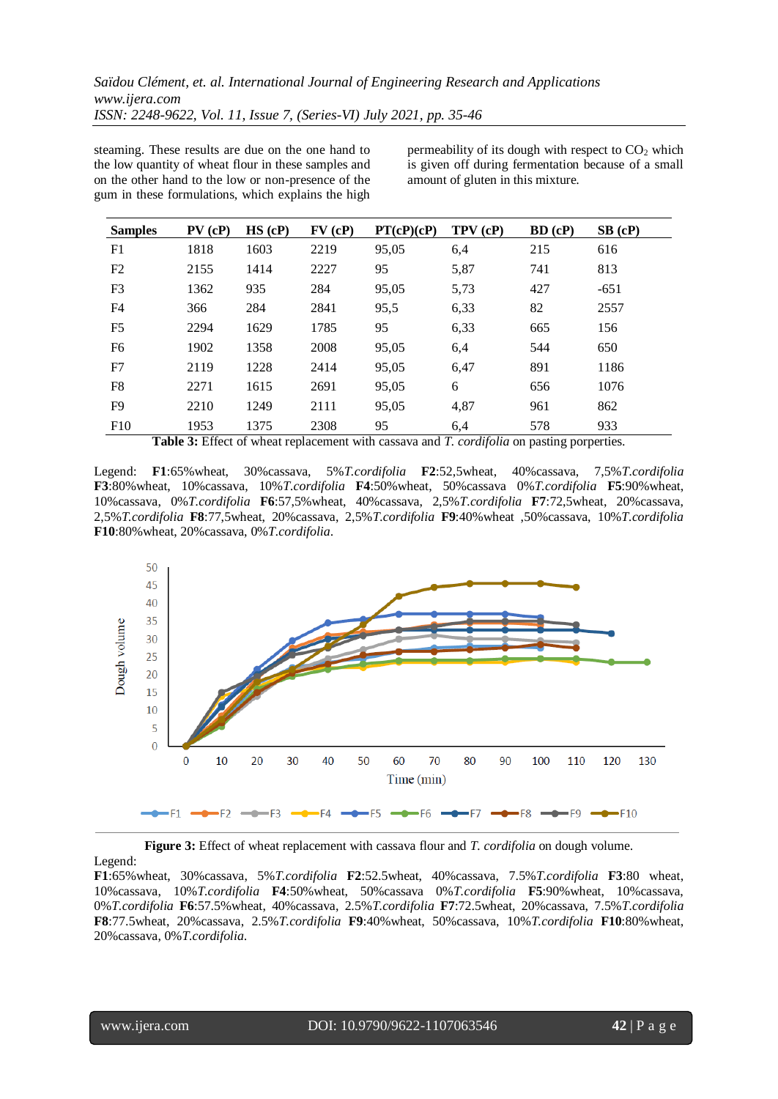steaming. These results are due on the one hand to the low quantity of wheat flour in these samples and on the other hand to the low or non-presence of the gum in these formulations, which explains the high

permeability of its dough with respect to  $CO<sub>2</sub>$  which is given off during fermentation because of a small amount of gluten in this mixture.

| <b>Samples</b> | $PV$ (cP) | $HS$ (cP) | FV(cP) | PT(cP)(cP) | TPV(cP)                                                                                                                                                                 | $BD$ (cP) | $SB$ (cP) |
|----------------|-----------|-----------|--------|------------|-------------------------------------------------------------------------------------------------------------------------------------------------------------------------|-----------|-----------|
| F1             | 1818      | 1603      | 2219   | 95,05      | 6,4                                                                                                                                                                     | 215       | 616       |
| F2             | 2155      | 1414      | 2227   | 95         | 5,87                                                                                                                                                                    | 741       | 813       |
| F3             | 1362      | 935       | 284    | 95,05      | 5,73                                                                                                                                                                    | 427       | $-651$    |
| F <sub>4</sub> | 366       | 284       | 2841   | 95,5       | 6,33                                                                                                                                                                    | 82        | 2557      |
| F <sub>5</sub> | 2294      | 1629      | 1785   | 95         | 6,33                                                                                                                                                                    | 665       | 156       |
| F <sub>6</sub> | 1902      | 1358      | 2008   | 95,05      | 6,4                                                                                                                                                                     | 544       | 650       |
| F7             | 2119      | 1228      | 2414   | 95,05      | 6,47                                                                                                                                                                    | 891       | 1186      |
| F8             | 2271      | 1615      | 2691   | 95,05      | 6                                                                                                                                                                       | 656       | 1076      |
| F <sub>9</sub> | 2210      | 1249      | 2111   | 95,05      | 4,87                                                                                                                                                                    | 961       | 862       |
| F10            | 1953      | 1375      | 2308   | 95         | 6.4<br>$\text{Table 2.}$ $\text{Pff}_{\text{out}}$ of $\text{ch}_{\text{out}}$ and a consent with a consent on $\text{d}(T)$ and $\text{d}(T)$ are no other a computing | 578       | 933       |

**Table 3:** Effect of wheat replacement with cassava and *T. cordifolia* on pasting porperties.

Legend: **F1**:65%wheat, 30%cassava, 5%*T.cordifolia* **F2**:52,5wheat, 40%cassava, 7,5%*T.cordifolia* **F3**:80%wheat, 10%cassava, 10%*T.cordifolia* **F4**:50%wheat, 50%cassava 0%*T.cordifolia* **F5**:90%wheat, 10%cassava, 0%*T.cordifolia* **F6**:57,5%wheat, 40%cassava, 2,5%*T.cordifolia* **F7**:72,5wheat, 20%cassava, 2,5%*T.cordifolia* **F8**:77,5wheat, 20%cassava, 2,5%*T.cordifolia* **F9**:40%wheat ,50%cassava, 10%*T.cordifolia* **F10**:80%wheat, 20%cassava, 0%*T.cordifolia*.



**Figure 3:** Effect of wheat replacement with cassava flour and *T. cordifolia* on dough volume. Legend:

**F1**:65%wheat, 30%cassava, 5%*T.cordifolia* **F2**:52.5wheat, 40%cassava, 7.5%*T.cordifolia* **F3**:80 wheat, 10%cassava, 10%*T.cordifolia* **F4**:50%wheat, 50%cassava 0%*T.cordifolia* **F5**:90%wheat, 10%cassava, 0%*T.cordifolia* **F6**:57.5%wheat, 40%cassava, 2.5%*T.cordifolia* **F7**:72.5wheat, 20%cassava, 7.5%*T.cordifolia* **F8**:77.5wheat, 20%cassava, 2.5%*T.cordifolia* **F9**:40%wheat, 50%cassava, 10%*T.cordifolia* **F10**:80%wheat, 20%cassava, 0%*T.cordifolia*.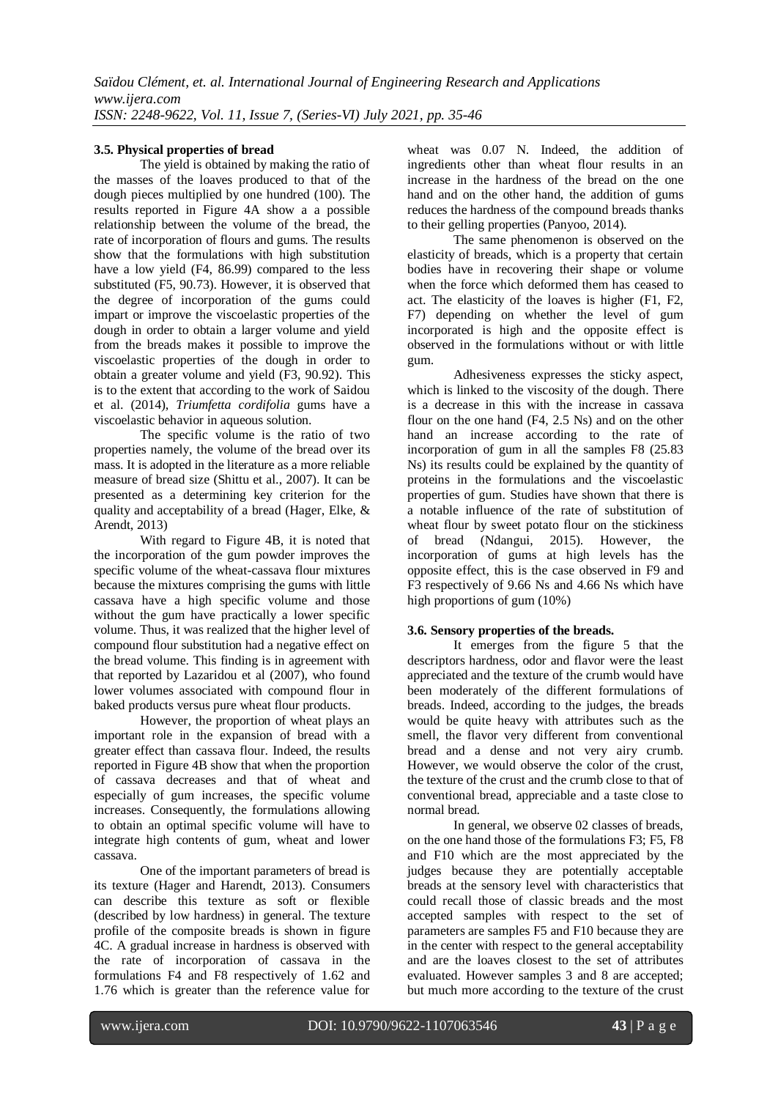# **3.5. Physical properties of bread**

The yield is obtained by making the ratio of the masses of the loaves produced to that of the dough pieces multiplied by one hundred (100). The results reported in Figure 4A show a a possible relationship between the volume of the bread, the rate of incorporation of flours and gums. The results show that the formulations with high substitution have a low yield (F4, 86.99) compared to the less substituted (F5, 90.73). However, it is observed that the degree of incorporation of the gums could impart or improve the viscoelastic properties of the dough in order to obtain a larger volume and yield from the breads makes it possible to improve the viscoelastic properties of the dough in order to obtain a greater volume and yield (F3, 90.92). This is to the extent that according to the work of Saidou et al. (2014), *Triumfetta cordifolia* gums have a viscoelastic behavior in aqueous solution.

The specific volume is the ratio of two properties namely, the volume of the bread over its mass. It is adopted in the literature as a more reliable measure of bread size (Shittu et al., 2007). It can be presented as a determining key criterion for the quality and acceptability of a bread (Hager, Elke, & Arendt, 2013)

With regard to Figure 4B, it is noted that the incorporation of the gum powder improves the specific volume of the wheat-cassava flour mixtures because the mixtures comprising the gums with little cassava have a high specific volume and those without the gum have practically a lower specific volume. Thus, it was realized that the higher level of compound flour substitution had a negative effect on the bread volume. This finding is in agreement with that reported by Lazaridou et al (2007), who found lower volumes associated with compound flour in baked products versus pure wheat flour products.

However, the proportion of wheat plays an important role in the expansion of bread with a greater effect than cassava flour. Indeed, the results reported in Figure 4B show that when the proportion of cassava decreases and that of wheat and especially of gum increases, the specific volume increases. Consequently, the formulations allowing to obtain an optimal specific volume will have to integrate high contents of gum, wheat and lower cassava.

One of the important parameters of bread is its texture (Hager and Harendt, 2013). Consumers can describe this texture as soft or flexible (described by low hardness) in general. The texture profile of the composite breads is shown in figure 4C. A gradual increase in hardness is observed with the rate of incorporation of cassava in the formulations F4 and F8 respectively of 1.62 and 1.76 which is greater than the reference value for

wheat was 0.07 N. Indeed, the addition of ingredients other than wheat flour results in an increase in the hardness of the bread on the one hand and on the other hand, the addition of gums reduces the hardness of the compound breads thanks to their gelling properties (Panyoo, 2014).

The same phenomenon is observed on the elasticity of breads, which is a property that certain bodies have in recovering their shape or volume when the force which deformed them has ceased to act. The elasticity of the loaves is higher (F1, F2, F7) depending on whether the level of gum incorporated is high and the opposite effect is observed in the formulations without or with little gum.

Adhesiveness expresses the sticky aspect, which is linked to the viscosity of the dough. There is a decrease in this with the increase in cassava flour on the one hand (F4, 2.5 Ns) and on the other hand an increase according to the rate of incorporation of gum in all the samples F8 (25.83 Ns) its results could be explained by the quantity of proteins in the formulations and the viscoelastic properties of gum. Studies have shown that there is a notable influence of the rate of substitution of wheat flour by sweet potato flour on the stickiness of bread (Ndangui, 2015). However, the incorporation of gums at high levels has the opposite effect, this is the case observed in F9 and F3 respectively of 9.66 Ns and 4.66 Ns which have high proportions of gum (10%)

# **3.6. Sensory properties of the breads.**

It emerges from the figure 5 that the descriptors hardness, odor and flavor were the least appreciated and the texture of the crumb would have been moderately of the different formulations of breads. Indeed, according to the judges, the breads would be quite heavy with attributes such as the smell, the flavor very different from conventional bread and a dense and not very airy crumb. However, we would observe the color of the crust, the texture of the crust and the crumb close to that of conventional bread, appreciable and a taste close to normal bread.

In general, we observe 02 classes of breads, on the one hand those of the formulations F3; F5, F8 and F10 which are the most appreciated by the judges because they are potentially acceptable breads at the sensory level with characteristics that could recall those of classic breads and the most accepted samples with respect to the set of parameters are samples F5 and F10 because they are in the center with respect to the general acceptability and are the loaves closest to the set of attributes evaluated. However samples 3 and 8 are accepted; but much more according to the texture of the crust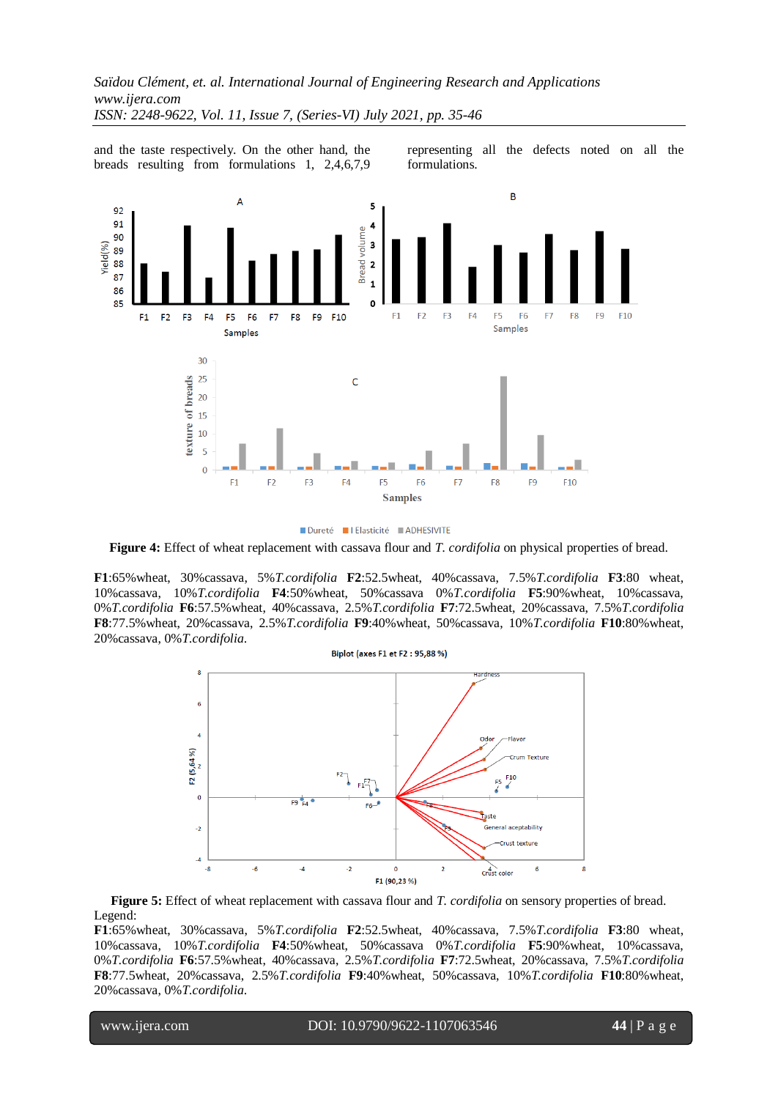and the taste respectively. On the other hand, the breads resulting from formulations 1, 2,4,6,7,9 representing all the defects noted on all the formulations.



Dureté Il Elasticité ADHESIVITE

**Figure 4:** Effect of wheat replacement with cassava flour and *T. cordifolia* on physical properties of bread.

**F1**:65%wheat, 30%cassava, 5%*T.cordifolia* **F2**:52.5wheat, 40%cassava, 7.5%*T.cordifolia* **F3**:80 wheat, 10%cassava, 10%*T.cordifolia* **F4**:50%wheat, 50%cassava 0%*T.cordifolia* **F5**:90%wheat, 10%cassava, 0%*T.cordifolia* **F6**:57.5%wheat, 40%cassava, 2.5%*T.cordifolia* **F7**:72.5wheat, 20%cassava, 7.5%*T.cordifolia* **F8**:77.5%wheat, 20%cassava, 2.5%*T.cordifolia* **F9**:40%wheat, 50%cassava, 10%*T.cordifolia* **F10**:80%wheat, 20%cassava, 0%*T.cordifolia*.



**Figure 5:** Effect of wheat replacement with cassava flour and *T. cordifolia* on sensory properties of bread. Legend:

**F1**:65%wheat, 30%cassava, 5%*T.cordifolia* **F2**:52.5wheat, 40%cassava, 7.5%*T.cordifolia* **F3**:80 wheat, 10%cassava, 10%*T.cordifolia* **F4**:50%wheat, 50%cassava 0%*T.cordifolia* **F5**:90%wheat, 10%cassava, 0%*T.cordifolia* **F6**:57.5%wheat, 40%cassava, 2.5%*T.cordifolia* **F7**:72.5wheat, 20%cassava, 7.5%*T.cordifolia* **F8**:77.5wheat, 20%cassava, 2.5%*T.cordifolia* **F9**:40%wheat, 50%cassava, 10%*T.cordifolia* **F10**:80%wheat, 20%cassava, 0%*T.cordifolia*.

l

www.ijera.com DOI: 10.9790/9622-1107063546 **44** | P a g e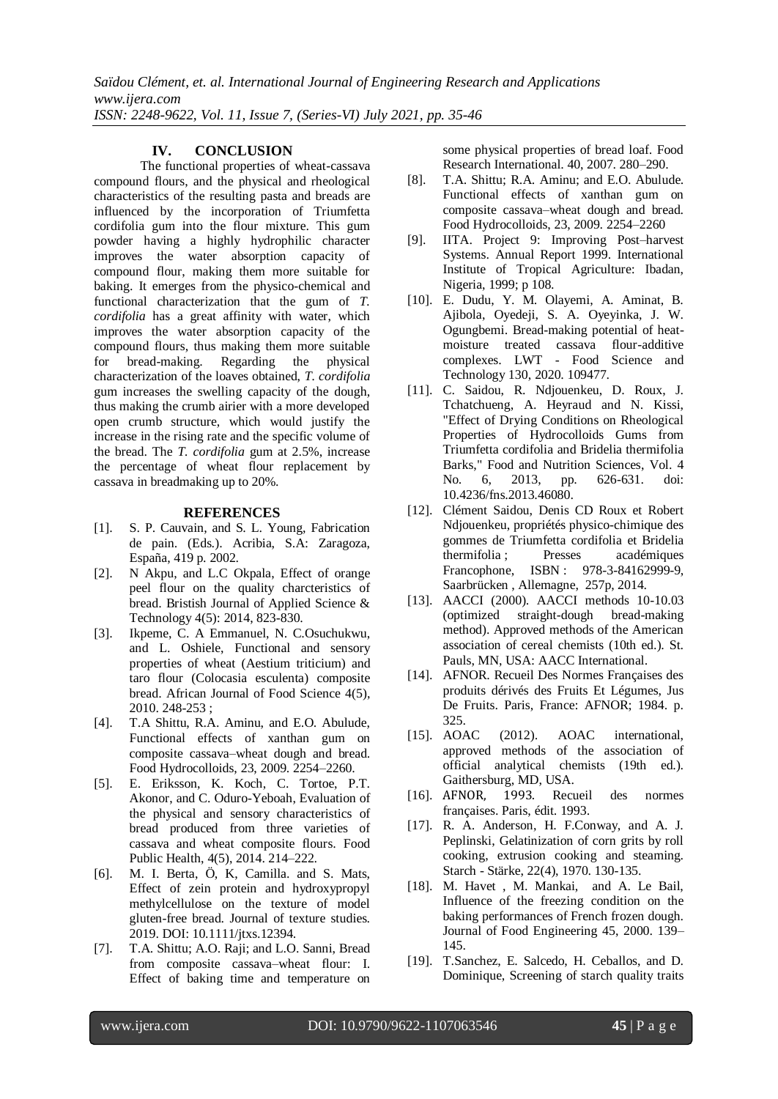# **IV. CONCLUSION**

The functional properties of wheat-cassava compound flours, and the physical and rheological characteristics of the resulting pasta and breads are influenced by the incorporation of Triumfetta cordifolia gum into the flour mixture. This gum powder having a highly hydrophilic character improves the water absorption capacity of compound flour, making them more suitable for baking. It emerges from the physico-chemical and functional characterization that the gum of *T. cordifolia* has a great affinity with water, which improves the water absorption capacity of the compound flours, thus making them more suitable for bread-making. Regarding the physical characterization of the loaves obtained, *T. cordifolia*  gum increases the swelling capacity of the dough, thus making the crumb airier with a more developed open crumb structure, which would justify the increase in the rising rate and the specific volume of the bread. The *T. cordifolia* gum at 2.5%, increase the percentage of wheat flour replacement by cassava in breadmaking up to 20%.

#### **REFERENCES**

- [1]. S. P. Cauvain, and S. L. Young, Fabrication de pain. (Eds.). Acribia, S.A: Zaragoza, España, 419 p. 2002.
- [2]. N Akpu, and L.C Okpala, Effect of orange peel flour on the quality charcteristics of bread. Bristish Journal of Applied Science & Technology 4(5): 2014, 823-830.
- [3]. Ikpeme, C. A Emmanuel, N. C.Osuchukwu, and L. Oshiele, Functional and sensory properties of wheat (Aestium triticium) and taro flour (Colocasia esculenta) composite bread. African Journal of Food Science 4(5), 2010. 248-253 ;
- [4]. T.A Shittu, R.A. Aminu, and E.O. Abulude, Functional effects of xanthan gum on composite cassava–wheat dough and bread. Food Hydrocolloids, 23, 2009. 2254–2260.
- [5]. E. Eriksson, K. Koch, C. Tortoe, P.T. Akonor, and C. Oduro-Yeboah, Evaluation of the physical and sensory characteristics of bread produced from three varieties of cassava and wheat composite flours. Food Public Health, 4(5), 2014. 214–222.
- [6]. M. I. Berta, Ö, K, Camilla. and S. Mats, Effect of zein protein and hydroxypropyl methylcellulose on the texture of model gluten-free bread. Journal of texture studies. 2019. DOI: 10.1111/jtxs.12394.
- [7]. T.A. Shittu; A.O. Raji; and L.O. Sanni, Bread from composite cassava–wheat flour: I. Effect of baking time and temperature on

some physical properties of bread loaf. Food Research International. 40, 2007. 280–290.

- [8]. T.A. Shittu; R.A. Aminu; and E.O. Abulude. Functional effects of xanthan gum on composite cassava–wheat dough and bread. Food Hydrocolloids, 23, 2009. 2254–2260
- [9]. IITA. Project 9: Improving Post–harvest Systems. Annual Report 1999. International Institute of Tropical Agriculture: Ibadan, Nigeria, 1999; p 108.
- [10]. E. Dudu, Y. M. Olayemi, A. Aminat, B. Ajibola, Oyedeji, S. A. Oyeyinka, J. W. Ogungbemi. Bread-making potential of heatmoisture treated cassava flour-additive complexes. LWT - Food Science and Technology 130, 2020. 109477.
- [11]. C. Saidou, R. Ndjouenkeu, D. Roux, J. Tchatchueng, A. Heyraud and N. Kissi, "Effect of Drying Conditions on Rheological Properties of Hydrocolloids Gums from Triumfetta cordifolia and Bridelia thermifolia Barks," Food and Nutrition Sciences, Vol. 4 No. 6, 2013, pp. 626-631. doi: 10.4236/fns.2013.46080.
- [12]. Clément Saidou, Denis CD Roux et Robert Ndjouenkeu, propriétés physico-chimique des gommes de Triumfetta cordifolia et Bridelia thermifolia ; Presses académiques Francophone, ISBN : 978-3-84162999-9, Saarbrücken , Allemagne, 257p, 2014.
- [13]. AACCI (2000). AACCI methods 10-10.03 (optimized straight-dough bread-making method). Approved methods of the American association of cereal chemists (10th ed.). St. Pauls, MN, USA: AACC International.
- [14]. AFNOR. Recueil Des Normes Françaises des produits dérivés des Fruits Et Légumes, Jus De Fruits. Paris, France: AFNOR; 1984. p. 325.
- [15]. AOAC (2012). AOAC international, approved methods of the association of official analytical chemists (19th ed.). Gaithersburg, MD, USA.
- [16]. AFNOR, 1993. Recueil des normes françaises. Paris, édit. 1993.
- [17]. R. A. Anderson, H. F.Conway, and A. J. Peplinski, Gelatinization of corn grits by roll cooking, extrusion cooking and steaming. Starch - Stärke, 22(4), 1970. 130-135.
- [18]. M. Havet , M. Mankai, and A. Le Bail, Influence of the freezing condition on the baking performances of French frozen dough. Journal of Food Engineering 45, 2000. 139– 145.
- [19]. T.Sanchez, E. Salcedo, H. Ceballos, and D. Dominique, Screening of starch quality traits